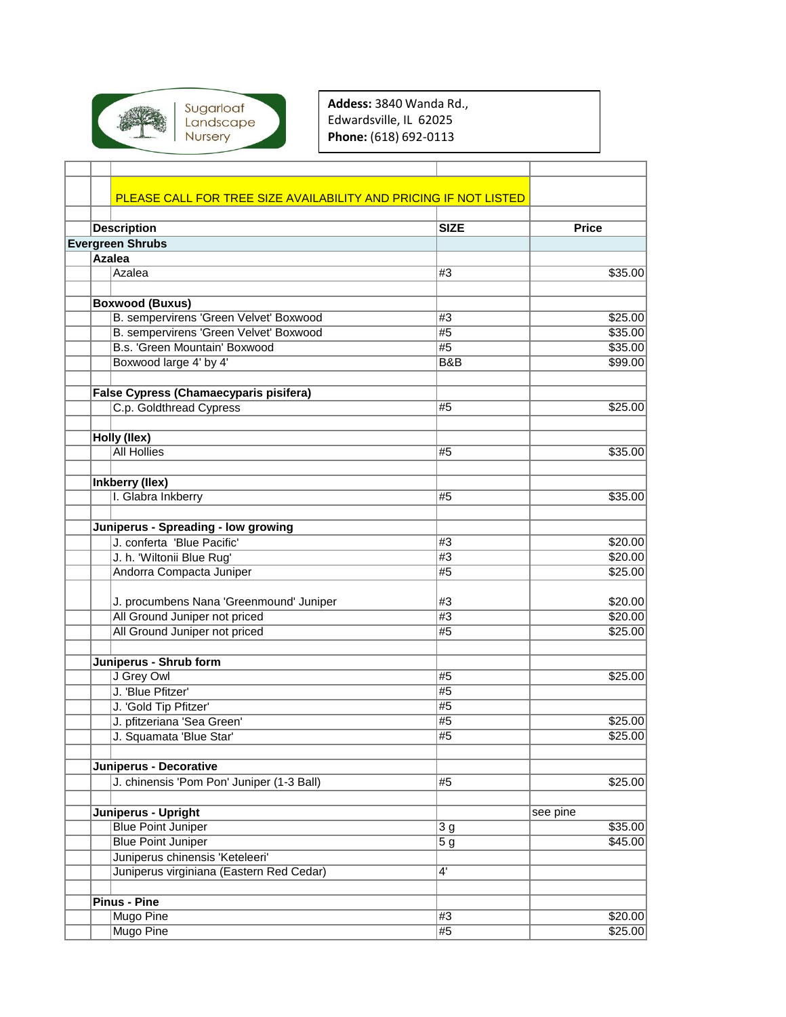

**Addess:** 3840 Wanda Rd., Edwardsville, IL 62025 **Phone:** (618) 692-0113

|  | PLEASE CALL FOR TREE SIZE AVAILABILITY AND PRICING IF NOT LISTED |                  |              |
|--|------------------------------------------------------------------|------------------|--------------|
|  |                                                                  |                  |              |
|  | <b>Description</b>                                               | <b>SIZE</b>      | <b>Price</b> |
|  | <b>Evergreen Shrubs</b>                                          |                  |              |
|  | <b>Azalea</b>                                                    |                  |              |
|  | Azalea                                                           | #3               | \$35.00      |
|  | <b>Boxwood (Buxus)</b>                                           |                  |              |
|  | B. sempervirens 'Green Velvet' Boxwood                           | #3               | \$25.00      |
|  | B. sempervirens 'Green Velvet' Boxwood                           | #5               | \$35.00      |
|  | B.s. 'Green Mountain' Boxwood                                    | #5               | \$35.00      |
|  | Boxwood large 4' by 4'                                           | <b>B&amp;B</b>   | \$99.00      |
|  |                                                                  |                  |              |
|  | False Cypress (Chamaecyparis pisifera)                           |                  |              |
|  | C.p. Goldthread Cypress                                          | #5               | \$25.00      |
|  |                                                                  |                  |              |
|  | Holly (Ilex)                                                     |                  |              |
|  | <b>All Hollies</b>                                               | #5               | \$35.00      |
|  |                                                                  |                  |              |
|  | Inkberry (Ilex)                                                  |                  |              |
|  | I. Glabra Inkberry                                               | #5               | \$35.00      |
|  |                                                                  |                  |              |
|  | Juniperus - Spreading - low growing                              |                  |              |
|  | J. conferta 'Blue Pacific'                                       | #3               | \$20.00      |
|  | J. h. 'Wiltonii Blue Rug'                                        | #3               | \$20.00      |
|  | Andorra Compacta Juniper                                         | #5               | \$25.00      |
|  | J. procumbens Nana 'Greenmound' Juniper                          | #3               | \$20.00      |
|  | All Ground Juniper not priced                                    | #3               | \$20.00      |
|  | All Ground Juniper not priced                                    | #5               | \$25.00      |
|  |                                                                  |                  |              |
|  | Juniperus - Shrub form                                           |                  |              |
|  | J Grey Owl                                                       | #5               | \$25.00      |
|  | J. 'Blue Pfitzer'                                                | #5               |              |
|  | J. 'Gold Tip Pfitzer'                                            | #5               |              |
|  | J. pfitzeriana 'Sea Green'                                       | #5               | \$25.00      |
|  | J. Squamata 'Blue Star'                                          | #5               | \$25.00      |
|  |                                                                  |                  |              |
|  | Juniperus - Decorative                                           |                  |              |
|  | J. chinensis 'Pom Pon' Juniper (1-3 Ball)                        | #5               | \$25.00      |
|  | Juniperus - Upright                                              |                  | see pine     |
|  | <b>Blue Point Juniper</b>                                        | 3g               | \$35.00      |
|  | <b>Blue Point Juniper</b>                                        | $\overline{5}$ g | \$45.00      |
|  | Juniperus chinensis 'Keteleeri'                                  |                  |              |
|  | Juniperus virginiana (Eastern Red Cedar)                         | 4'               |              |
|  |                                                                  |                  |              |
|  | <b>Pinus - Pine</b>                                              |                  |              |
|  | Mugo Pine                                                        | #3               | \$20.00      |
|  | Mugo Pine                                                        | #5               | \$25.00      |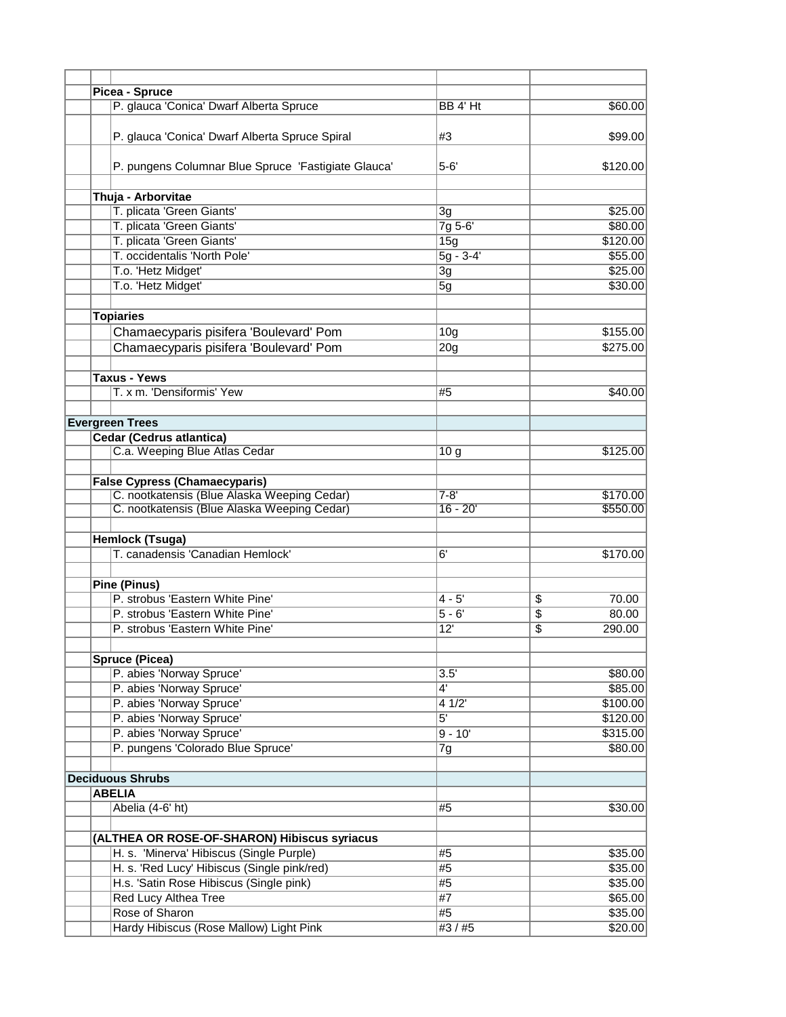|  | Picea - Spruce                                      |                   |                                   |
|--|-----------------------------------------------------|-------------------|-----------------------------------|
|  | P. glauca 'Conica' Dwarf Alberta Spruce             | BB 4' Ht          | \$60.00                           |
|  |                                                     |                   |                                   |
|  | P. glauca 'Conica' Dwarf Alberta Spruce Spiral      | #3                | \$99.00                           |
|  | P. pungens Columnar Blue Spruce 'Fastigiate Glauca' | $5 - 6'$          | \$120.00                          |
|  |                                                     |                   |                                   |
|  | Thuja - Arborvitae                                  |                   |                                   |
|  | T. plicata 'Green Giants'                           | $\overline{3}g$   | \$25.00                           |
|  | T. plicata 'Green Giants'                           | $7g 5-6'$         | \$80.00                           |
|  | T. plicata 'Green Giants'                           | 15g               | \$120.00                          |
|  | T. occidentalis 'North Pole'                        | $5g - 3-4'$       | \$55.00                           |
|  | T.o. 'Hetz Midget'                                  | 3g                | \$25.00                           |
|  | T.o. Hetz Midget'                                   | 5g                | \$30.00                           |
|  |                                                     |                   |                                   |
|  | <b>Topiaries</b>                                    |                   |                                   |
|  | Chamaecyparis pisifera 'Boulevard' Pom              | 10 <sub>g</sub>   | \$155.00                          |
|  | Chamaecyparis pisifera 'Boulevard' Pom              | 20 <sub>g</sub>   | \$275.00                          |
|  |                                                     |                   |                                   |
|  | <b>Taxus - Yews</b>                                 |                   |                                   |
|  | T. x m. 'Densiformis' Yew                           | #5                | \$40.00                           |
|  |                                                     |                   |                                   |
|  | <b>Evergreen Trees</b>                              |                   |                                   |
|  | <b>Cedar (Cedrus atlantica)</b>                     |                   |                                   |
|  | C.a. Weeping Blue Atlas Cedar                       | 10 <sub>g</sub>   | \$125.00                          |
|  |                                                     |                   |                                   |
|  | <b>False Cypress (Chamaecyparis)</b>                |                   |                                   |
|  | C. nootkatensis (Blue Alaska Weeping Cedar)         | $7 - 8'$          | \$170.00                          |
|  | C. nootkatensis (Blue Alaska Weeping Cedar)         | $16 - 20'$        | \$550.00                          |
|  |                                                     |                   |                                   |
|  |                                                     |                   |                                   |
|  | Hemlock (Tsuga)<br>T. canadensis 'Canadian Hemlock' |                   |                                   |
|  |                                                     | 6'                | \$170.00                          |
|  | <b>Pine (Pinus)</b>                                 |                   |                                   |
|  | P. strobus 'Eastern White Pine'                     | $4 - 5'$          | \$<br>70.00                       |
|  |                                                     |                   |                                   |
|  | P. strobus 'Eastern White Pine'                     | $\overline{5-6'}$ | $\overline{\$}$<br>80.00          |
|  | P. strobus 'Eastern White Pine'                     | 12'               | $\overline{\mathbb{S}}$<br>290.00 |
|  | <b>Spruce (Picea)</b>                               |                   |                                   |
|  | P. abies 'Norway Spruce'                            | 3.5'              | \$80.00                           |
|  |                                                     |                   |                                   |
|  | P. abies 'Norway Spruce'                            | $4^{\prime}$      | \$85.00                           |
|  | P. abies 'Norway Spruce'                            | 41/2              | \$100.00                          |
|  | P. abies 'Norway Spruce'                            | $\overline{5}$    | \$120.00                          |
|  | P. abies 'Norway Spruce'                            | $9 - 10'$         | \$315.00                          |
|  | P. pungens 'Colorado Blue Spruce'                   | 7g                | \$80.00                           |
|  |                                                     |                   |                                   |
|  | <b>Deciduous Shrubs</b><br><b>ABELIA</b>            |                   |                                   |
|  |                                                     |                   |                                   |
|  | Abelia (4-6' ht)                                    | #5                | \$30.00                           |
|  | (ALTHEA OR ROSE-OF-SHARON) Hibiscus syriacus        |                   |                                   |
|  | H. s. 'Minerva' Hibiscus (Single Purple)            | #5                | \$35.00                           |
|  | H. s. 'Red Lucy' Hibiscus (Single pink/red)         | #5                | \$35.00                           |
|  | H.s. 'Satin Rose Hibiscus (Single pink)             | #5                | \$35.00                           |
|  |                                                     |                   |                                   |
|  | Red Lucy Althea Tree                                | #7                | \$65.00                           |
|  | Rose of Sharon                                      | #5                | \$35.00                           |
|  | Hardy Hibiscus (Rose Mallow) Light Pink             | #3 / #5           | \$20.00                           |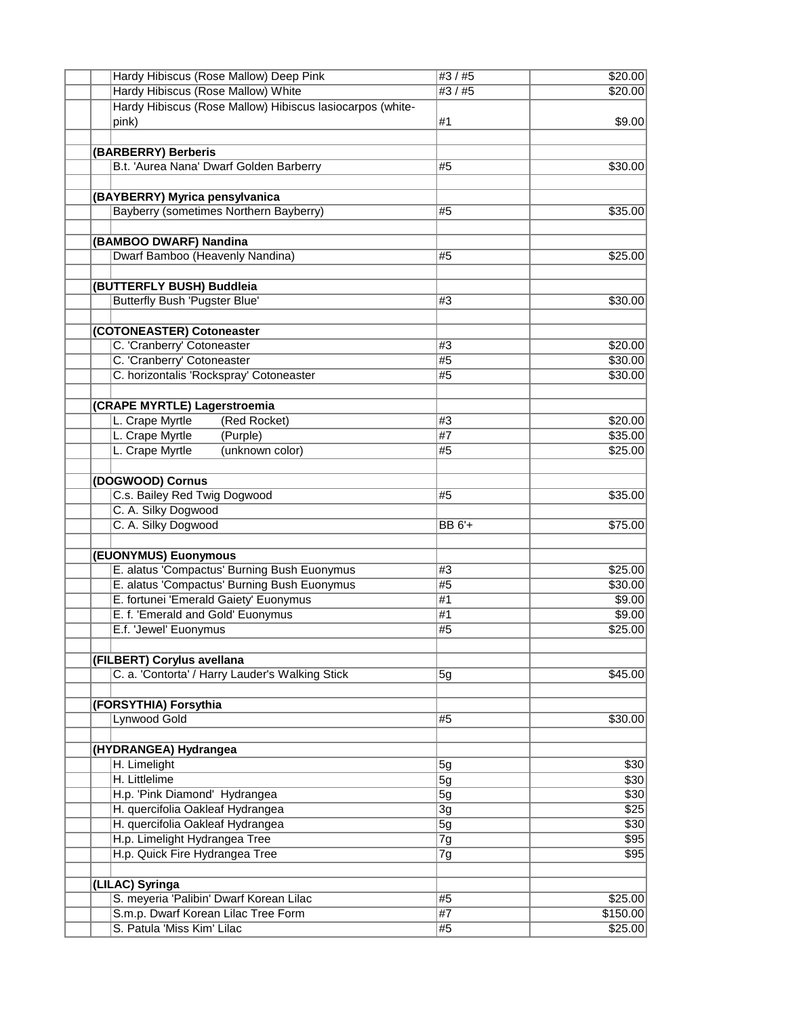| Hardy Hibiscus (Rose Mallow) Deep Pink                    | #3 / #5 | \$20.00  |
|-----------------------------------------------------------|---------|----------|
| <b>Hardy Hibiscus (Rose Mallow) White</b>                 | #3 / #5 | \$20.00  |
| Hardy Hibiscus (Rose Mallow) Hibiscus lasiocarpos (white- |         |          |
| pink)                                                     | #1      | \$9.00   |
|                                                           |         |          |
| (BARBERRY) Berberis                                       |         |          |
| B.t. 'Aurea Nana' Dwarf Golden Barberry                   | #5      | \$30.00  |
|                                                           |         |          |
| (BAYBERRY) Myrica pensylvanica                            |         |          |
| Bayberry (sometimes Northern Bayberry)                    | #5      | \$35.00  |
|                                                           |         |          |
| (BAMBOO DWARF) Nandina                                    |         |          |
| Dwarf Bamboo (Heavenly Nandina)                           | #5      | \$25.00  |
|                                                           |         |          |
|                                                           |         |          |
| (BUTTERFLY BUSH) Buddleia                                 |         |          |
| <b>Butterfly Bush 'Pugster Blue'</b>                      | #3      | \$30.00  |
|                                                           |         |          |
| (COTONEASTER) Cotoneaster                                 |         |          |
| C. 'Cranberry' Cotoneaster                                | #3      | \$20.00  |
| C. 'Cranberry' Cotoneaster                                | #5      | \$30.00  |
| C. horizontalis 'Rockspray' Cotoneaster                   | #5      | \$30.00  |
|                                                           |         |          |
| (CRAPE MYRTLE) Lagerstroemia                              |         |          |
| L. Crape Myrtle<br>(Red Rocket)                           | #3      | \$20.00  |
| L. Crape Myrtle<br>(Purple)                               | #7      | \$35.00  |
| L. Crape Myrtle<br>(unknown color)                        | #5      | \$25.00  |
|                                                           |         |          |
| (DOGWOOD) Cornus                                          |         |          |
| C.s. Bailey Red Twig Dogwood                              | #5      | \$35.00  |
| C. A. Silky Dogwood                                       |         |          |
|                                                           |         |          |
| C. A. Silky Dogwood                                       | BB 6'+  | \$75.00  |
|                                                           |         |          |
| (EUONYMUS) Euonymous                                      |         |          |
| E. alatus 'Compactus' Burning Bush Euonymus               | #3      | \$25.00  |
| E. alatus 'Compactus' Burning Bush Euonymus               | #5      | \$30.00  |
| E. fortunei 'Emerald Gaiety' Euonymus                     | #1      | \$9.00   |
| E. f. 'Emerald and Gold' Euonymus                         | #1      | \$9.00   |
| E.f. 'Jewel' Euonymus                                     | #5      | \$25.00  |
|                                                           |         |          |
| (FILBERT) Corylus avellana                                |         |          |
| C. a. 'Contorta' / Harry Lauder's Walking Stick           | 5g      | \$45.00  |
|                                                           |         |          |
| (FORSYTHIA) Forsythia                                     |         |          |
| Lynwood Gold                                              | #5      | \$30.00  |
|                                                           |         |          |
| (HYDRANGEA) Hydrangea                                     |         |          |
| H. Limelight                                              | 5g      | \$30     |
| H. Littlelime                                             | 5g      | \$30     |
| H.p. 'Pink Diamond' Hydrangea                             | 5g      | \$30     |
| H. quercifolia Oakleaf Hydrangea                          | 3g      | \$25     |
| H. quercifolia Oakleaf Hydrangea                          |         | \$30     |
|                                                           | 5g      |          |
| H.p. Limelight Hydrangea Tree                             | 7g      | \$95     |
| H.p. Quick Fire Hydrangea Tree                            | 7g      | \$95     |
|                                                           |         |          |
| (LILAC) Syringa                                           |         |          |
| S. meyeria 'Palibin' Dwarf Korean Lilac                   | #5      | \$25.00  |
| S.m.p. Dwarf Korean Lilac Tree Form                       | #7      | \$150.00 |
| S. Patula 'Miss Kim' Lilac                                | #5      | \$25.00  |
|                                                           |         |          |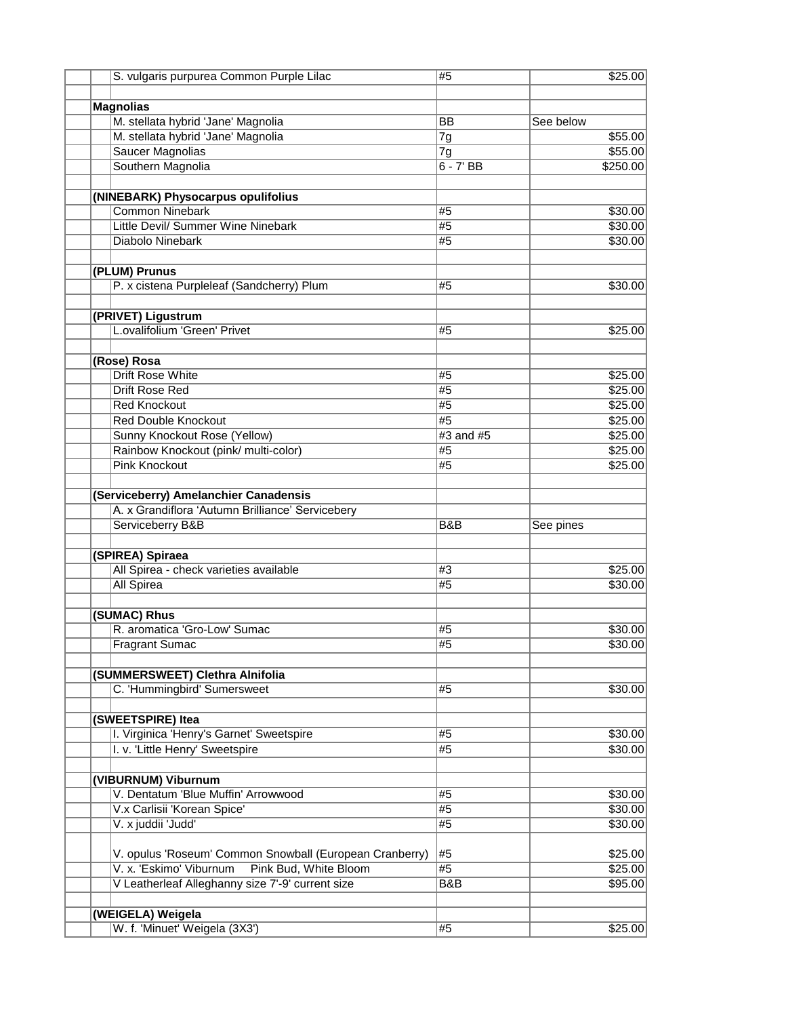| S. vulgaris purpurea Common Purple Lilac                     | #5              | \$25.00   |
|--------------------------------------------------------------|-----------------|-----------|
|                                                              |                 |           |
| <b>Magnolias</b>                                             |                 |           |
| M. stellata hybrid 'Jane' Magnolia                           | <b>BB</b>       | See below |
| M. stellata hybrid 'Jane' Magnolia                           | 7g              | \$55.00   |
| <b>Saucer Magnolias</b>                                      | 7g              | \$55.00   |
| Southern Magnolia                                            | $6 - 7'$ BB     | \$250.00  |
|                                                              |                 |           |
| (NINEBARK) Physocarpus opulifolius<br><b>Common Ninebark</b> | #5              | \$30.00   |
| Little Devil/ Summer Wine Ninebark                           | #5              | \$30.00   |
| Diabolo Ninebark                                             | #5              | \$30.00   |
|                                                              |                 |           |
| (PLUM) Prunus                                                |                 |           |
| P. x cistena Purpleleaf (Sandcherry) Plum                    | #5              | \$30.00   |
| (PRIVET) Ligustrum                                           |                 |           |
| L.ovalifolium 'Green' Privet                                 | #5              | \$25.00   |
|                                                              |                 |           |
| (Rose) Rosa                                                  |                 |           |
| <b>Drift Rose White</b>                                      | #5              | \$25.00   |
| <b>Drift Rose Red</b>                                        | #5              | \$25.00   |
| <b>Red Knockout</b>                                          | #5              | \$25.00   |
| <b>Red Double Knockout</b>                                   | #5              | \$25.00   |
| Sunny Knockout Rose (Yellow)                                 | $#3$ and $#5$   | \$25.00   |
| Rainbow Knockout (pink/ multi-color)                         | #5              | \$25.00   |
| <b>Pink Knockout</b>                                         | #5              | \$25.00   |
|                                                              |                 |           |
| (Serviceberry) Amelanchier Canadensis                        |                 |           |
| A. x Grandiflora 'Autumn Brilliance' Servicebery             |                 |           |
| Serviceberry B&B                                             | B&B             | See pines |
| (SPIREA) Spiraea                                             |                 |           |
| All Spirea - check varieties available                       | #3              | \$25.00   |
| <b>All Spirea</b>                                            | #5              | \$30.00   |
|                                                              |                 |           |
| (SUMAC) Rhus                                                 |                 |           |
| R. aromatica 'Gro-Low' Sumac                                 | #5              | \$30.00   |
| <b>Fragrant Sumac</b>                                        | $\overline{45}$ | \$30.00   |
| (SUMMERSWEET) Clethra Alnifolia                              |                 |           |
| C. 'Hummingbird' Sumersweet                                  | #5              | \$30.00   |
|                                                              |                 |           |
| (SWEETSPIRE) Itea                                            |                 |           |
| I. Virginica 'Henry's Garnet' Sweetspire                     | #5              | \$30.00   |
| I. v. 'Little Henry' Sweetspire                              | #5              | \$30.00   |
|                                                              |                 |           |
| (VIBURNUM) Viburnum<br>V. Dentatum 'Blue Muffin' Arrowwood   | #5              | \$30.00   |
| V.x Carlisii 'Korean Spice'                                  | #5              | \$30.00   |
| V. x juddii 'Judd'                                           | #5              | \$30.00   |
|                                                              |                 |           |
| V. opulus 'Roseum' Common Snowball (European Cranberry)      | #5              | \$25.00   |
| V. x. 'Eskimo' Viburnum Pink Bud, White Bloom                | #5              | \$25.00   |
| V Leatherleaf Alleghanny size 7'-9' current size             | B&B             | \$95.00   |
|                                                              |                 |           |
| (WEIGELA) Weigela                                            |                 |           |
| W. f. 'Minuet' Weigela (3X3')                                | #5              | \$25.00   |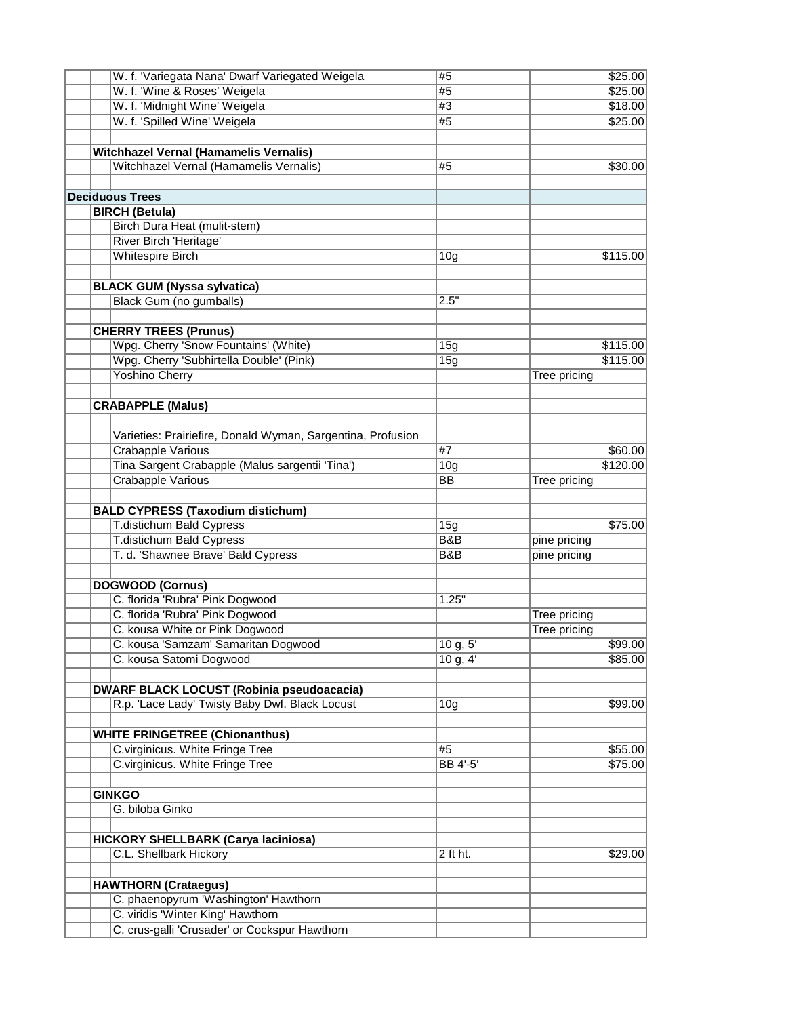| W. f. 'Variegata Nana' Dwarf Variegated Weigela             | #5                       | \$25.00             |
|-------------------------------------------------------------|--------------------------|---------------------|
| W. f. 'Wine & Roses' Weigela                                | #5                       | \$25.00             |
| W. f. 'Midnight Wine' Weigela                               | #3                       | \$18.00             |
| W. f. 'Spilled Wine' Weigela                                | #5                       | \$25.00             |
|                                                             |                          |                     |
| <b>Witchhazel Vernal (Hamamelis Vernalis)</b>               |                          |                     |
| Witchhazel Vernal (Hamamelis Vernalis)                      | #5                       | \$30.00             |
|                                                             |                          |                     |
| <b>Deciduous Trees</b>                                      |                          |                     |
|                                                             |                          |                     |
| <b>BIRCH (Betula)</b>                                       |                          |                     |
| Birch Dura Heat (mulit-stem)                                |                          |                     |
| River Birch 'Heritage'                                      |                          |                     |
| <b>Whitespire Birch</b>                                     | 10 <sub>g</sub>          | \$115.00            |
|                                                             |                          |                     |
| <b>BLACK GUM (Nyssa sylvatica)</b>                          |                          |                     |
| Black Gum (no gumballs)                                     | 2.5"                     |                     |
|                                                             |                          |                     |
| <b>CHERRY TREES (Prunus)</b>                                |                          |                     |
| Wpg. Cherry 'Snow Fountains' (White)                        | 15g                      | \$115.00            |
| Wpg. Cherry 'Subhirtella Double' (Pink)                     | 15g                      | \$115.00            |
| <b>Yoshino Cherry</b>                                       |                          | <b>Tree pricing</b> |
|                                                             |                          |                     |
| <b>CRABAPPLE (Malus)</b>                                    |                          |                     |
|                                                             |                          |                     |
| Varieties: Prairiefire, Donald Wyman, Sargentina, Profusion |                          |                     |
| <b>Crabapple Various</b>                                    | #7                       | \$60.00             |
|                                                             |                          |                     |
| Tina Sargent Crabapple (Malus sargentii 'Tina')             | 10 <sub>g</sub>          | \$120.00            |
| Crabapple Various                                           | <b>BB</b>                | Tree pricing        |
|                                                             |                          |                     |
| <b>BALD CYPRESS (Taxodium distichum)</b>                    |                          |                     |
| T.distichum Bald Cypress                                    | 15g                      | \$75.00             |
| <b>T.distichum Bald Cypress</b>                             | <b>B&amp;B</b>           | pine pricing        |
| T. d. 'Shawnee Brave' Bald Cypress                          | B&B                      | pine pricing        |
|                                                             |                          |                     |
| <b>DOGWOOD (Cornus)</b>                                     |                          |                     |
| C. florida 'Rubra' Pink Dogwood                             | 1.25"                    |                     |
| C. florida 'Rubra' Pink Dogwood                             |                          | Tree pricing        |
| C. kousa White or Pink Dogwood                              |                          | Tree pricing        |
| C. kousa 'Samzam' Samaritan Dogwood                         | $10 \overline{g}$ , $5'$ | \$99.00             |
| C. kousa Satomi Dogwood                                     | 10 g, 4'                 | \$85.00             |
|                                                             |                          |                     |
| <b>DWARF BLACK LOCUST (Robinia pseudoacacia)</b>            |                          |                     |
| R.p. 'Lace Lady' Twisty Baby Dwf. Black Locust              | 10 <sub>g</sub>          | \$99.00             |
|                                                             |                          |                     |
|                                                             |                          |                     |
| <b>WHITE FRINGETREE (Chionanthus)</b>                       | #5                       |                     |
| C.virginicus. White Fringe Tree                             |                          | \$55.00             |
| C.virginicus. White Fringe Tree                             | <b>BB</b> 4'-5'          | \$75.00             |
|                                                             |                          |                     |
| <b>GINKGO</b>                                               |                          |                     |
| G. biloba Ginko                                             |                          |                     |
|                                                             |                          |                     |
| <b>HICKORY SHELLBARK (Carya laciniosa)</b>                  |                          |                     |
| C.L. Shellbark Hickory                                      | 2 ft ht.                 | \$29.00             |
|                                                             |                          |                     |
| <b>HAWTHORN (Crataegus)</b>                                 |                          |                     |
| C. phaenopyrum 'Washington' Hawthorn                        |                          |                     |
| C. viridis 'Winter King' Hawthorn                           |                          |                     |
| C. crus-galli 'Crusader' or Cockspur Hawthorn               |                          |                     |
|                                                             |                          |                     |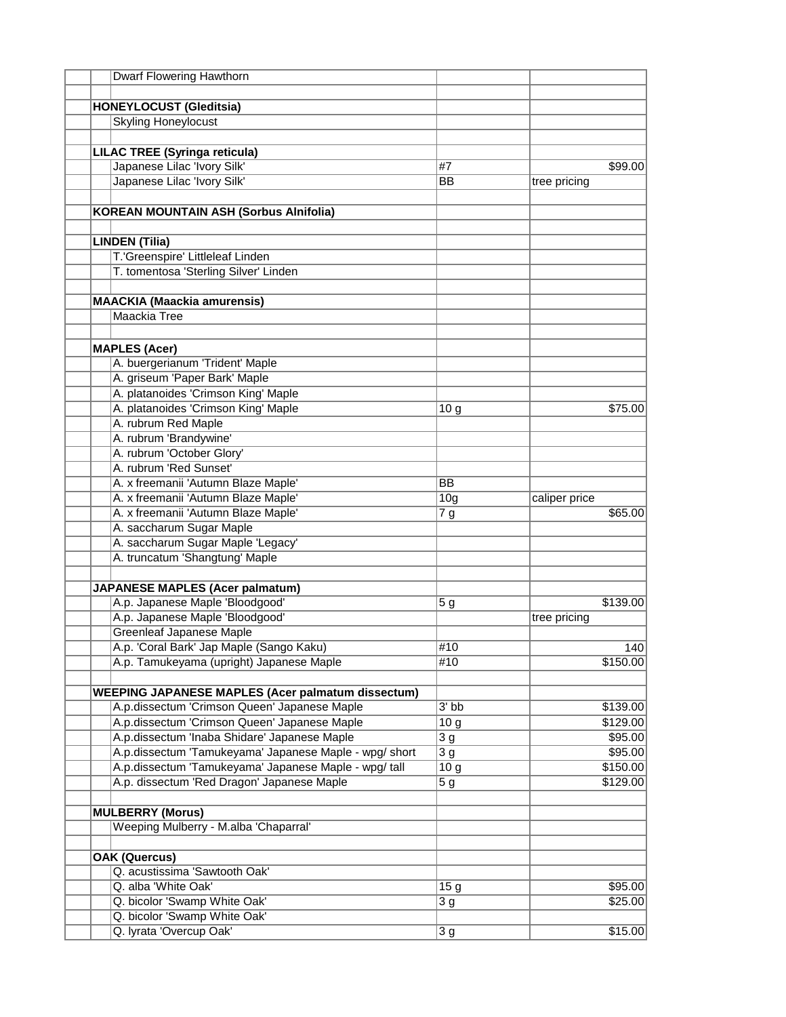| Dwarf Flowering Hawthorn                                 |                    |               |
|----------------------------------------------------------|--------------------|---------------|
|                                                          |                    |               |
| <b>HONEYLOCUST (Gleditsia)</b>                           |                    |               |
| <b>Skyling Honeylocust</b>                               |                    |               |
|                                                          |                    |               |
| <b>LILAC TREE (Syringa reticula)</b>                     |                    |               |
| Japanese Lilac 'Ivory Silk'                              | #7                 | \$99.00       |
| Japanese Lilac 'Ivory Silk'                              | <b>BB</b>          | tree pricing  |
|                                                          |                    |               |
| <b>KOREAN MOUNTAIN ASH (Sorbus Alnifolia)</b>            |                    |               |
| <b>LINDEN (Tilia)</b>                                    |                    |               |
|                                                          |                    |               |
| T.'Greenspire' Littleleaf Linden                         |                    |               |
| T. tomentosa 'Sterling Silver' Linden                    |                    |               |
| <b>MAACKIA (Maackia amurensis)</b>                       |                    |               |
| Maackia Tree                                             |                    |               |
|                                                          |                    |               |
| <b>MAPLES (Acer)</b>                                     |                    |               |
| A. buergerianum 'Trident' Maple                          |                    |               |
| A. griseum 'Paper Bark' Maple                            |                    |               |
| A. platanoides 'Crimson King' Maple                      |                    |               |
| A. platanoides 'Crimson King' Maple                      | 10 <sub>g</sub>    | \$75.00       |
| A. rubrum Red Maple                                      |                    |               |
| A. rubrum 'Brandywine'                                   |                    |               |
| A. rubrum 'October Glory'                                |                    |               |
| A. rubrum 'Red Sunset'                                   |                    |               |
| A. x freemanii 'Autumn Blaze Maple'                      | <b>BB</b>          |               |
| A. x freemanii 'Autumn Blaze Maple'                      | 10 <sub>g</sub>    | caliper price |
| A. x freemanii 'Autumn Blaze Maple'                      |                    | \$65.00       |
| A. saccharum Sugar Maple                                 | 7g                 |               |
|                                                          |                    |               |
| A. saccharum Sugar Maple 'Legacy'                        |                    |               |
| A. truncatum 'Shangtung' Maple                           |                    |               |
| <b>JAPANESE MAPLES (Acer palmatum)</b>                   |                    |               |
| A.p. Japanese Maple 'Bloodgood'                          | 5 g                | \$139.00      |
| A.p. Japanese Maple 'Bloodgood'                          |                    | tree pricing  |
| <b>Greenleaf Japanese Maple</b>                          |                    |               |
| A.p. 'Coral Bark' Jap Maple (Sango Kaku)                 | #10                | 140           |
| A.p. Tamukeyama (upright) Japanese Maple                 | #10                | \$150.00      |
| <b>WEEPING JAPANESE MAPLES (Acer palmatum dissectum)</b> |                    |               |
| A.p.dissectum 'Crimson Queen' Japanese Maple             | $3'$ <sub>bb</sub> | \$139.00      |
| A.p.dissectum 'Crimson Queen' Japanese Maple             | 10g                | \$129.00      |
| A.p.dissectum 'Inaba Shidare' Japanese Maple             | 3 <sub>g</sub>     | \$95.00       |
| A.p.dissectum 'Tamukeyama' Japanese Maple - wpg/ short   | 3g                 | \$95.00       |
| A.p.dissectum 'Tamukeyama' Japanese Maple - wpg/ tall    | 10g                | \$150.00      |
| A.p. dissectum 'Red Dragon' Japanese Maple               | 5 g                | \$129.00      |
|                                                          |                    |               |
| <b>MULBERRY (Morus)</b>                                  |                    |               |
| Weeping Mulberry - M.alba 'Chaparral'                    |                    |               |
|                                                          |                    |               |
| <b>OAK (Quercus)</b><br>Q. acustissima 'Sawtooth Oak'    |                    |               |
| Q. alba 'White Oak'                                      | 15 <sub>g</sub>    | \$95.00       |
| Q. bicolor 'Swamp White Oak'                             | 3 <sub>g</sub>     | \$25.00       |
| Q. bicolor 'Swamp White Oak'                             |                    |               |
| Q. lyrata 'Overcup Oak'                                  | 3 <sub>g</sub>     | \$15.00       |
|                                                          |                    |               |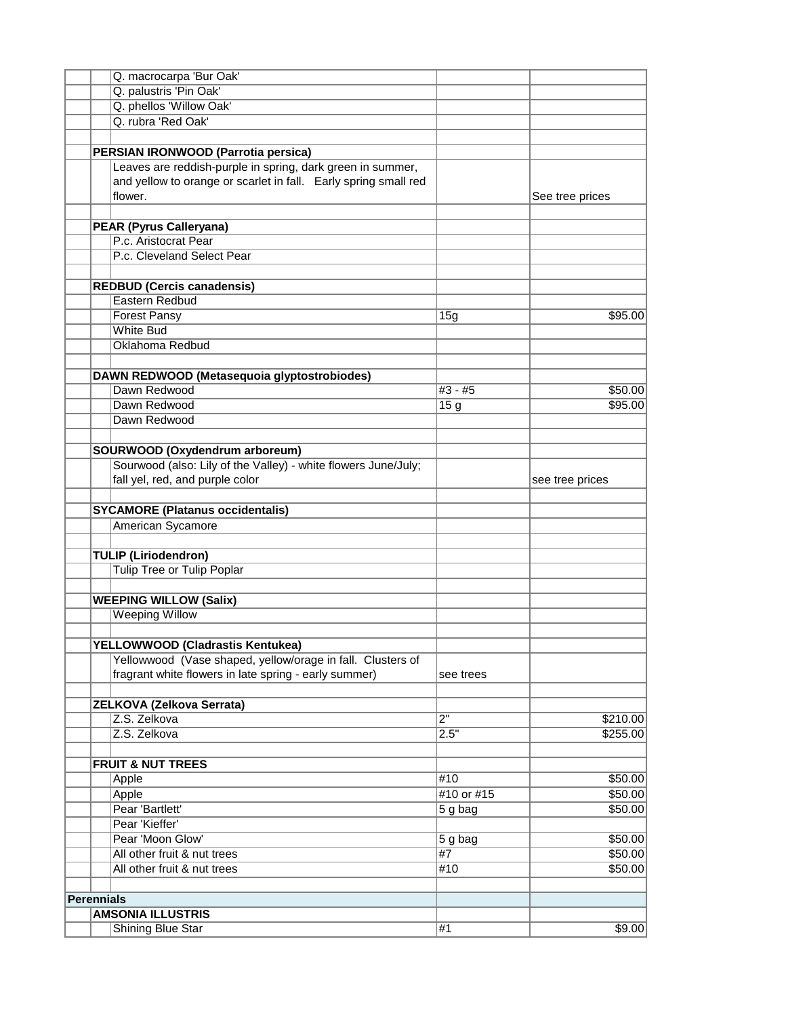|                   | Q. macrocarpa 'Bur Oak'                                         |                     |                 |
|-------------------|-----------------------------------------------------------------|---------------------|-----------------|
|                   | Q. palustris 'Pin Oak'                                          |                     |                 |
|                   | Q. phellos 'Willow Oak'                                         |                     |                 |
|                   | Q. rubra 'Red Oak'                                              |                     |                 |
|                   |                                                                 |                     |                 |
|                   | PERSIAN IRONWOOD (Parrotia persica)                             |                     |                 |
|                   | Leaves are reddish-purple in spring, dark green in summer,      |                     |                 |
|                   | and yellow to orange or scarlet in fall. Early spring small red |                     |                 |
|                   | flower.                                                         |                     |                 |
|                   |                                                                 |                     | See tree prices |
|                   |                                                                 |                     |                 |
|                   | <b>PEAR (Pyrus Calleryana)</b>                                  |                     |                 |
|                   | P.c. Aristocrat Pear                                            |                     |                 |
|                   | P.c. Cleveland Select Pear                                      |                     |                 |
|                   |                                                                 |                     |                 |
|                   | <b>REDBUD (Cercis canadensis)</b>                               |                     |                 |
|                   | Eastern Redbud                                                  |                     |                 |
|                   | <b>Forest Pansy</b>                                             | 15g                 | \$95.00         |
|                   | <b>White Bud</b>                                                |                     |                 |
|                   | Oklahoma Redbud                                                 |                     |                 |
|                   |                                                                 |                     |                 |
|                   | DAWN REDWOOD (Metasequoia glyptostrobiodes)                     |                     |                 |
|                   | Dawn Redwood                                                    | #3 - #5             | \$50.00         |
|                   | Dawn Redwood                                                    | 15 <sub>g</sub>     | \$95.00         |
|                   | Dawn Redwood                                                    |                     |                 |
|                   |                                                                 |                     |                 |
|                   |                                                                 |                     |                 |
|                   | SOURWOOD (Oxydendrum arboreum)                                  |                     |                 |
|                   | Sourwood (also: Lily of the Valley) - white flowers June/July;  |                     |                 |
|                   | fall yel, red, and purple color                                 |                     | see tree prices |
|                   |                                                                 |                     |                 |
|                   | <b>SYCAMORE (Platanus occidentalis)</b>                         |                     |                 |
|                   | American Sycamore                                               |                     |                 |
|                   |                                                                 |                     |                 |
|                   | <b>TULIP (Liriodendron)</b>                                     |                     |                 |
|                   | <b>Tulip Tree or Tulip Poplar</b>                               |                     |                 |
|                   |                                                                 |                     |                 |
|                   | <b>WEEPING WILLOW (Salix)</b>                                   |                     |                 |
|                   | Weeping Willow                                                  |                     |                 |
|                   |                                                                 |                     |                 |
|                   | YELLOWWOOD (Cladrastis Kentukea)                                |                     |                 |
|                   | Yellowwood (Vase shaped, yellow/orage in fall. Clusters of      |                     |                 |
|                   | fragrant white flowers in late spring - early summer)           | see trees           |                 |
|                   |                                                                 |                     |                 |
|                   |                                                                 |                     |                 |
|                   | ZELKOVA (Zelkova Serrata)                                       |                     |                 |
|                   | Z.S. Zelkova                                                    | $\overline{2}$ "    | \$210.00        |
|                   | Z.S. Zelkova                                                    | 2.5"                | \$255.00        |
|                   |                                                                 |                     |                 |
|                   | <b>FRUIT &amp; NUT TREES</b>                                    |                     |                 |
|                   | Apple                                                           | #10                 | \$50.00         |
|                   | Apple                                                           | #10 or #15          | \$50.00         |
|                   | Pear 'Bartlett'                                                 | $5g$ bag            | \$50.00         |
|                   | Pear 'Kieffer'                                                  |                     |                 |
|                   | Pear 'Moon Glow'                                                | $\overline{5g}$ bag | \$50.00         |
|                   | All other fruit & nut trees                                     | #7                  | \$50.00         |
|                   | All other fruit & nut trees                                     | #10                 | \$50.00         |
|                   |                                                                 |                     |                 |
| <b>Perennials</b> |                                                                 |                     |                 |
|                   | <b>AMSONIA ILLUSTRIS</b>                                        |                     |                 |
|                   |                                                                 | #1                  | \$9.00          |
|                   | Shining Blue Star                                               |                     |                 |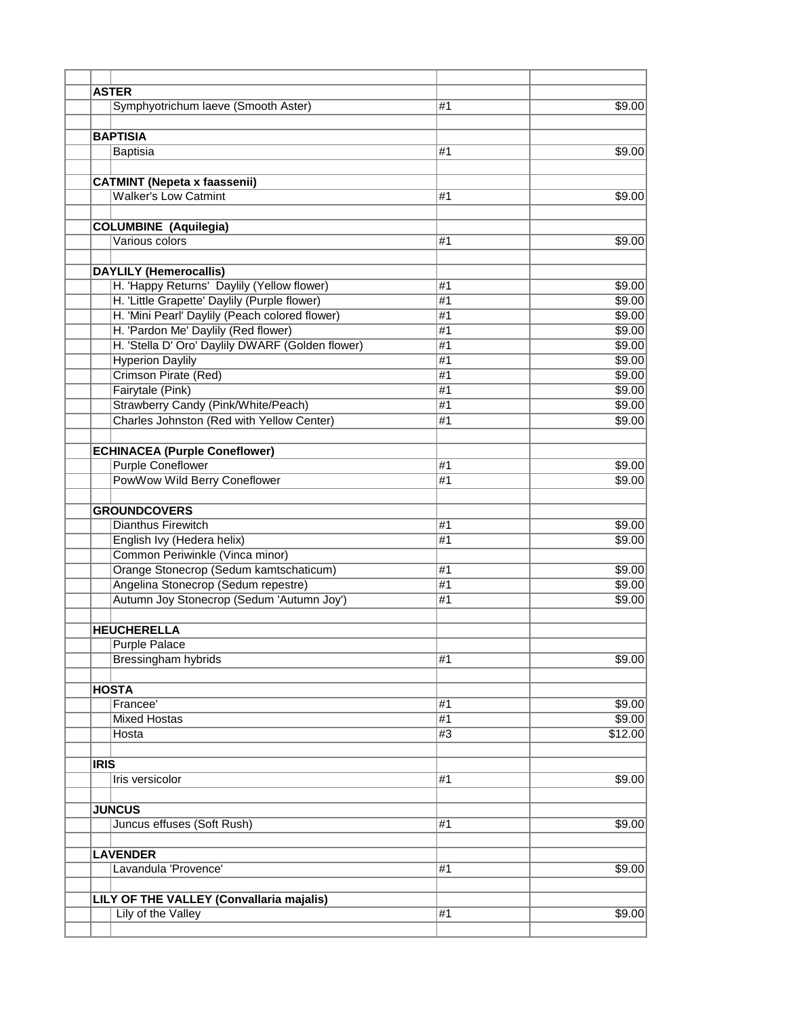|             | <b>ASTER</b>                                     |                |         |
|-------------|--------------------------------------------------|----------------|---------|
|             | Symphyotrichum laeve (Smooth Aster)              | #1             | \$9.00  |
|             |                                                  |                |         |
|             | <b>BAPTISIA</b>                                  |                |         |
|             |                                                  | #1             |         |
|             | <b>Baptisia</b>                                  |                | \$9.00  |
|             |                                                  |                |         |
|             | <b>CATMINT (Nepeta x faassenii)</b>              |                |         |
|             | <b>Walker's Low Catmint</b>                      | #1             | \$9.00  |
|             |                                                  |                |         |
|             | <b>COLUMBINE</b> (Aquilegia)                     |                |         |
|             | Various colors                                   | #1             | \$9.00  |
|             |                                                  |                |         |
|             | <b>DAYLILY (Hemerocallis)</b>                    |                |         |
|             | H. 'Happy Returns' Daylily (Yellow flower)       | #1             | \$9.00  |
|             | H. 'Little Grapette' Daylily (Purple flower)     | $\overline{H}$ | \$9.00  |
|             | H. 'Mini Pearl' Daylily (Peach colored flower)   | #1             | \$9.00  |
|             | H. 'Pardon Me' Daylily (Red flower)              | #1             | \$9.00  |
|             | H. 'Stella D' Oro' Daylily DWARF (Golden flower) | #1             | \$9.00  |
|             | <b>Hyperion Daylily</b>                          | #1             | \$9.00  |
|             | Crimson Pirate (Red)                             | #1             | \$9.00  |
|             | Fairytale (Pink)                                 | #1             | \$9.00  |
|             |                                                  |                | \$9.00  |
|             | Strawberry Candy (Pink/White/Peach)              | #1             |         |
|             | Charles Johnston (Red with Yellow Center)        | #1             | \$9.00  |
|             |                                                  |                |         |
|             | <b>ECHINACEA (Purple Coneflower)</b>             |                |         |
|             | <b>Purple Coneflower</b>                         | #1             | \$9.00  |
|             | PowWow Wild Berry Coneflower                     | #1             | \$9.00  |
|             |                                                  |                |         |
|             | <b>GROUNDCOVERS</b>                              |                |         |
|             | Dianthus Firewitch                               | #1             | \$9.00  |
|             | English Ivy (Hedera helix)                       | #1             | \$9.00  |
|             | Common Periwinkle (Vinca minor)                  |                |         |
|             | Orange Stonecrop (Sedum kamtschaticum)           | #1             | \$9.00  |
|             | Angelina Stonecrop (Sedum repestre)              | $\overline{H}$ | \$9.00  |
|             | Autumn Joy Stonecrop (Sedum 'Autumn Joy')        | #1             | \$9.00  |
|             |                                                  |                |         |
|             | <b>HEUCHERELLA</b>                               |                |         |
|             | <b>Purple Palace</b>                             |                |         |
|             | <b>Bressingham hybrids</b>                       | #1             | \$9.00  |
|             |                                                  |                |         |
|             |                                                  |                |         |
|             | <b>HOSTA</b>                                     |                |         |
|             | Francee'                                         | #1             | \$9.00  |
|             | <b>Mixed Hostas</b>                              | #1             | \$9.00  |
|             | Hosta                                            | #3             | \$12.00 |
|             |                                                  |                |         |
| <b>IRIS</b> |                                                  |                |         |
|             | Iris versicolor                                  | #1             | \$9.00  |
|             |                                                  |                |         |
|             | <b>JUNCUS</b>                                    |                |         |
|             | Juncus effuses (Soft Rush)                       | #1             | \$9.00  |
|             |                                                  |                |         |
|             | <b>LAVENDER</b>                                  |                |         |
|             | Lavandula 'Provence'                             | #1             | \$9.00  |
|             |                                                  |                |         |
|             | LILY OF THE VALLEY (Convallaria majalis)         |                |         |
|             | Lily of the Valley                               | #1             | \$9.00  |
|             |                                                  |                |         |
|             |                                                  |                |         |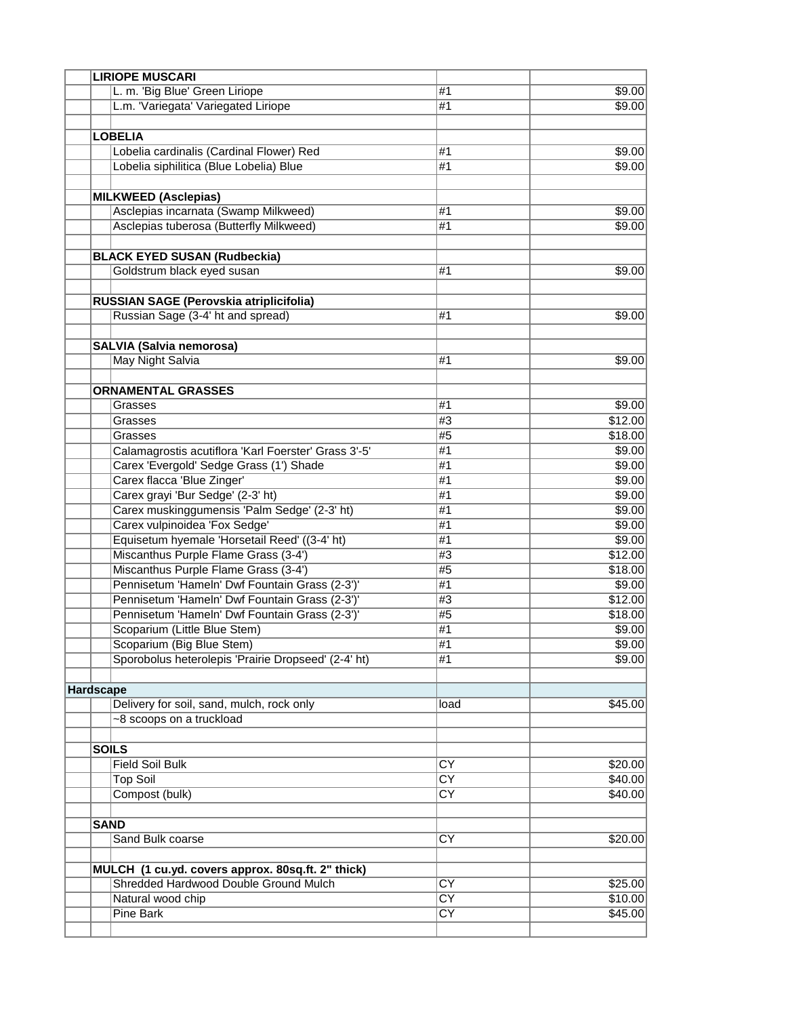|           |             | <b>LIRIOPE MUSCARI</b>                                                                     |                                           |         |
|-----------|-------------|--------------------------------------------------------------------------------------------|-------------------------------------------|---------|
|           |             | L. m. 'Big Blue' Green Liriope                                                             | #1                                        | \$9.00  |
|           |             | L.m. 'Variegata' Variegated Liriope                                                        | #1                                        | \$9.00  |
|           |             |                                                                                            |                                           |         |
|           |             | <b>LOBELIA</b>                                                                             |                                           |         |
|           |             | Lobelia cardinalis (Cardinal Flower) Red                                                   | #1                                        | \$9.00  |
|           |             | Lobelia siphilitica (Blue Lobelia) Blue                                                    | #1                                        | \$9.00  |
|           |             |                                                                                            |                                           |         |
|           |             | <b>MILKWEED (Asclepias)</b>                                                                |                                           |         |
|           |             | Asclepias incarnata (Swamp Milkweed)                                                       | #1                                        | \$9.00  |
|           |             | Asclepias tuberosa (Butterfly Milkweed)                                                    | #1                                        | \$9.00  |
|           |             |                                                                                            |                                           |         |
|           |             | <b>BLACK EYED SUSAN (Rudbeckia)</b>                                                        |                                           |         |
|           |             | Goldstrum black eyed susan                                                                 | #1                                        | \$9.00  |
|           |             |                                                                                            |                                           |         |
|           |             | RUSSIAN SAGE (Perovskia atriplicifolia)                                                    |                                           |         |
|           |             | Russian Sage (3-4' ht and spread)                                                          | #1                                        | \$9.00  |
|           |             |                                                                                            |                                           |         |
|           |             | <b>SALVIA (Salvia nemorosa)</b>                                                            |                                           |         |
|           |             | <b>May Night Salvia</b>                                                                    | #1                                        | \$9.00  |
|           |             |                                                                                            |                                           |         |
|           |             | <b>ORNAMENTAL GRASSES</b>                                                                  |                                           |         |
|           |             | Grasses                                                                                    | #1                                        | \$9.00  |
|           |             | Grasses                                                                                    | #3                                        | \$12.00 |
|           |             | Grasses                                                                                    | #5                                        | \$18.00 |
|           |             | Calamagrostis acutiflora 'Karl Foerster' Grass 3'-5'                                       | #1                                        | \$9.00  |
|           |             | Carex 'Evergold' Sedge Grass (1') Shade                                                    | #1                                        | \$9.00  |
|           |             | Carex flacca 'Blue Zinger'                                                                 | #1                                        | \$9.00  |
|           |             | Carex grayi 'Bur Sedge' (2-3' ht)                                                          | #1                                        | \$9.00  |
|           |             | Carex muskinggumensis 'Palm Sedge' (2-3' ht)                                               | #1                                        | \$9.00  |
|           |             | Carex vulpinoidea 'Fox Sedge'                                                              | #1                                        | \$9.00  |
|           |             | Equisetum hyemale 'Horsetail Reed' ((3-4' ht)                                              | #1                                        | \$9.00  |
|           |             | Miscanthus Purple Flame Grass (3-4')                                                       | #3                                        | \$12.00 |
|           |             | Miscanthus Purple Flame Grass (3-4')                                                       | #5                                        | \$18.00 |
|           |             | Pennisetum 'Hameln' Dwf Fountain Grass (2-3')'                                             | #1                                        | \$9.00  |
|           |             | Pennisetum 'Hameln' Dwf Fountain Grass (2-3')'                                             | #3                                        | \$12.00 |
|           |             | Pennisetum 'Hameln' Dwf Fountain Grass (2-3')'                                             | #5                                        | \$18.00 |
|           |             | Scoparium (Little Blue Stem)                                                               | #1                                        | \$9.00  |
|           |             | Scoparium (Big Blue Stem)                                                                  | $\overline{11}$                           | \$9.00  |
|           |             | Sporobolus heterolepis 'Prairie Dropseed' (2-4' ht)                                        | #1                                        | \$9.00  |
|           |             |                                                                                            |                                           |         |
| Hardscape |             |                                                                                            |                                           |         |
|           |             | Delivery for soil, sand, mulch, rock only                                                  | load                                      | \$45.00 |
|           |             | ~8 scoops on a truckload                                                                   |                                           |         |
|           |             |                                                                                            |                                           |         |
|           |             | <b>SOILS</b>                                                                               |                                           |         |
|           |             | <b>Field Soil Bulk</b>                                                                     | $\overline{\text{CY}}$                    | \$20.00 |
|           |             | <b>Top Soil</b>                                                                            | $\overline{\text{CY}}$                    | \$40.00 |
|           |             | Compost (bulk)                                                                             | $\overline{\text{CY}}$                    |         |
|           |             |                                                                                            |                                           | \$40.00 |
|           |             |                                                                                            |                                           |         |
|           | <b>SAND</b> |                                                                                            |                                           |         |
|           |             | Sand Bulk coarse                                                                           | $\overline{CY}$                           | \$20.00 |
|           |             |                                                                                            |                                           |         |
|           |             | MULCH (1 cu.yd. covers approx. 80sq.ft. 2" thick)<br>Shredded Hardwood Double Ground Mulch |                                           |         |
|           |             |                                                                                            | $\overline{CY}$<br>$\overline{\text{CY}}$ | \$25.00 |
|           |             | Natural wood chip                                                                          | $\overline{\text{CY}}$                    | \$10.00 |
|           |             | Pine Bark                                                                                  |                                           | \$45.00 |
|           |             |                                                                                            |                                           |         |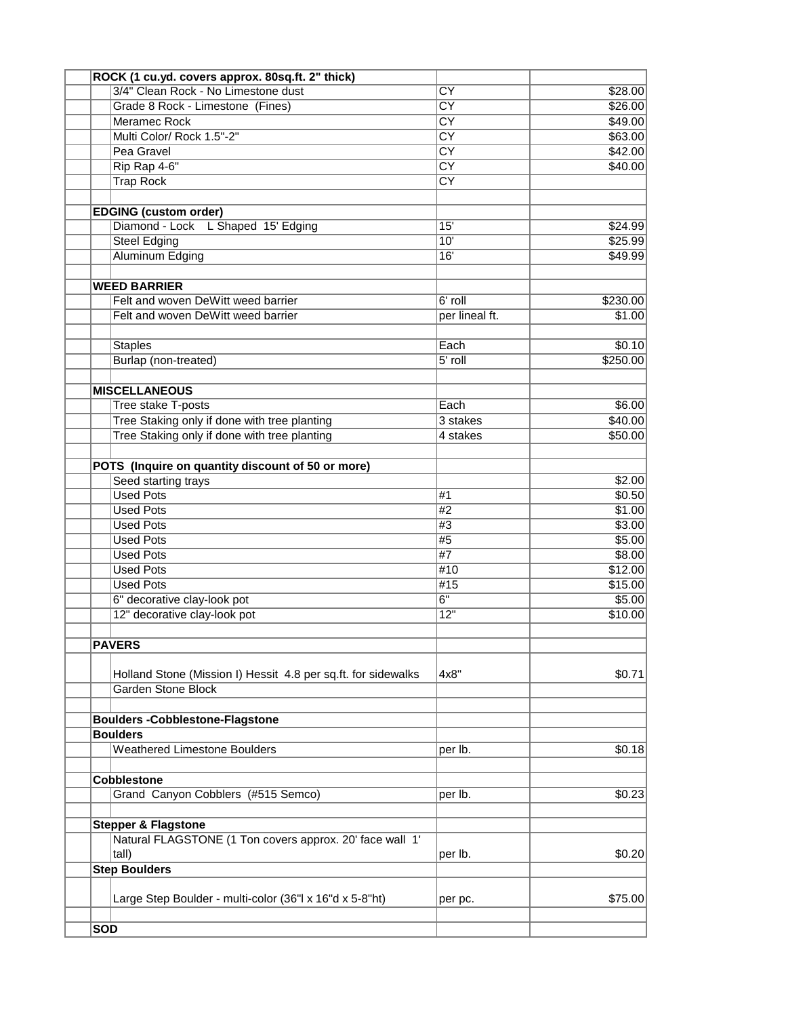| ROCK (1 cu.yd. covers approx. 80sq.ft. 2" thick)              |                                  |          |
|---------------------------------------------------------------|----------------------------------|----------|
| 3/4" Clean Rock - No Limestone dust                           | $\overline{\text{CY}}$           | \$28.00  |
| Grade 8 Rock - Limestone (Fines)                              | $\overline{\text{CY}}$           | \$26.00  |
| Meramec Rock                                                  | $\overline{\text{CY}}$           | \$49.00  |
| Multi Color/ Rock 1.5"-2"                                     | $\overline{\text{CY}}$           | \$63.00  |
| Pea Gravel                                                    | $\overline{\text{c}^{\text{Y}}}$ | \$42.00  |
| Rip Rap 4-6"                                                  | $\overline{\text{CY}}$           | \$40.00  |
| <b>Trap Rock</b>                                              | $\overline{\text{CY}}$           |          |
|                                                               |                                  |          |
| <b>EDGING (custom order)</b>                                  |                                  |          |
| Diamond - Lock L Shaped 15' Edging                            | 15'                              | \$24.99  |
| <b>Steel Edging</b>                                           | 10'                              | \$25.99  |
| Aluminum Edging                                               | 16'                              | \$49.99  |
|                                                               |                                  |          |
| <b>WEED BARRIER</b>                                           |                                  |          |
| Felt and woven DeWitt weed barrier                            | 6' roll                          | \$230.00 |
| Felt and woven DeWitt weed barrier                            | per lineal ft.                   | \$1.00   |
|                                                               |                                  |          |
| <b>Staples</b>                                                | Each                             | \$0.10   |
| Burlap (non-treated)                                          | $5'$ roll                        | \$250.00 |
|                                                               |                                  |          |
| <b>MISCELLANEOUS</b>                                          |                                  |          |
| Tree stake T-posts                                            | Each                             | \$6.00   |
| Tree Staking only if done with tree planting                  | 3 stakes                         | \$40.00  |
| Tree Staking only if done with tree planting                  | 4 stakes                         | \$50.00  |
|                                                               |                                  |          |
| POTS (Inquire on quantity discount of 50 or more)             |                                  |          |
| Seed starting trays                                           |                                  | \$2.00   |
| <b>Used Pots</b>                                              | #1                               | \$0.50   |
| <b>Used Pots</b>                                              | #2                               | \$1.00   |
| <b>Used Pots</b>                                              | #3                               | \$3.00   |
| <b>Used Pots</b>                                              | #5                               | \$5.00   |
|                                                               | #7                               |          |
| <b>Used Pots</b>                                              |                                  | \$8.00   |
| <b>Used Pots</b>                                              | #10                              | \$12.00  |
| <b>Used Pots</b>                                              | #15                              | \$15.00  |
| 6" decorative clay-look pot                                   | $\overline{6"}$                  | \$5.00   |
| 12" decorative clay-look pot                                  | $\overline{12}$                  | \$10.00  |
|                                                               |                                  |          |
| <b>PAVERS</b>                                                 |                                  |          |
|                                                               |                                  |          |
| Holland Stone (Mission I) Hessit 4.8 per sq.ft. for sidewalks | 4x8"                             | \$0.71   |
| <b>Garden Stone Block</b>                                     |                                  |          |
|                                                               |                                  |          |
| <b>Boulders-Cobblestone-Flagstone</b>                         |                                  |          |
| <b>Boulders</b>                                               |                                  |          |
| <b>Weathered Limestone Boulders</b>                           | per lb.                          | \$0.18   |
|                                                               |                                  |          |
| <b>Cobblestone</b>                                            |                                  |          |
| Grand Canyon Cobblers (#515 Semco)                            | per lb.                          | \$0.23   |
|                                                               |                                  |          |
| <b>Stepper &amp; Flagstone</b>                                |                                  |          |
| Natural FLAGSTONE (1 Ton covers approx. 20' face wall 1'      |                                  |          |
| tall)                                                         | per lb.                          | \$0.20   |
| <b>Step Boulders</b>                                          |                                  |          |
|                                                               |                                  |          |
| Large Step Boulder - multi-color (36"l x 16"d x 5-8"ht)       | per pc.                          | \$75.00  |
|                                                               |                                  |          |
| <b>SOD</b>                                                    |                                  |          |
|                                                               |                                  |          |